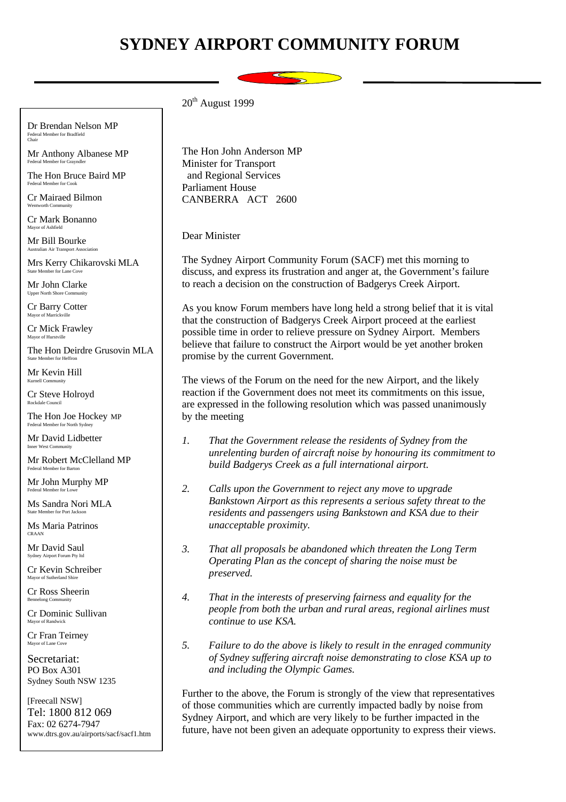## **SYDNEY AIRPORT COMMUNITY FORUM**



Dr Brendan Nelson MP Federal Member for Bradfield Chair

Mr Anthony Albanese MP Federal Member for Grayndler

The Hon Bruce Baird MP Federal Member for Cook

Cr Mairaed Bilmon Wentworth Community

Cr Mark Bonanno Mayor of Ashfield

Mr Bill Bourke Australian Air Transport Association

Mrs Kerry Chikarovski MLA State Member for Lane Cove

Mr John Clarke Upper North Shore Community

Cr Barry Cotter Mayor of Marr

Cr Mick Frawley Mayor of Hurstvill

The Hon Deirdre Grusovin MLA State Member for Heffron

Mr Kevin Hill Kurnell Community

Cr Steve Holroyd Rockdale Council

The Hon Joe Hockey MP Federal Member for North Sydney

Mr David Lidbetter Inner West Community

Mr Robert McClelland MP Federal Member for Barton

Mr John Murphy MP Federal Member for Low

Ms Sandra Nori MLA State Member for Port Jackson

Ms Maria Patrinos CRAAN

Mr David Saul Sydney Airport Forum Pty lt

Cr Kevin Schreiber Mayor of Sutherland Shire

Cr Ross Sheerin Bennelong Community

Cr Dominic Sullivan Mayor of Randwick

Cr Fran Teirney Mayor of Lane Cove

Secretariat: PO Box A301 Sydney South NSW 1235

[Freecall NSW] Tel: 1800 812 069 Fax: 02 6274-7947 www.dtrs.gov.au/airports/sacf/sacf1.htm  $20<sup>th</sup>$  August 1999

The Hon John Anderson MP Minister for Transport and Regional Services Parliament House CANBERRA ACT 2600

Dear Minister

The Sydney Airport Community Forum (SACF) met this morning to discuss, and express its frustration and anger at, the Government's failure to reach a decision on the construction of Badgerys Creek Airport.

As you know Forum members have long held a strong belief that it is vital that the construction of Badgerys Creek Airport proceed at the earliest possible time in order to relieve pressure on Sydney Airport. Members believe that failure to construct the Airport would be yet another broken promise by the current Government.

The views of the Forum on the need for the new Airport, and the likely reaction if the Government does not meet its commitments on this issue, are expressed in the following resolution which was passed unanimously by the meeting

- *1. That the Government release the residents of Sydney from the unrelenting burden of aircraft noise by honouring its commitment to build Badgerys Creek as a full international airport.*
- *2. Calls upon the Government to reject any move to upgrade Bankstown Airport as this represents a serious safety threat to the residents and passengers using Bankstown and KSA due to their unacceptable proximity.*
- *3. That all proposals be abandoned which threaten the Long Term Operating Plan as the concept of sharing the noise must be preserved.*
- *4. That in the interests of preserving fairness and equality for the people from both the urban and rural areas, regional airlines must continue to use KSA.*
- *5. Failure to do the above is likely to result in the enraged community of Sydney suffering aircraft noise demonstrating to close KSA up to and including the Olympic Games.*

Further to the above, the Forum is strongly of the view that representatives of those communities which are currently impacted badly by noise from Sydney Airport, and which are very likely to be further impacted in the future, have not been given an adequate opportunity to express their views.